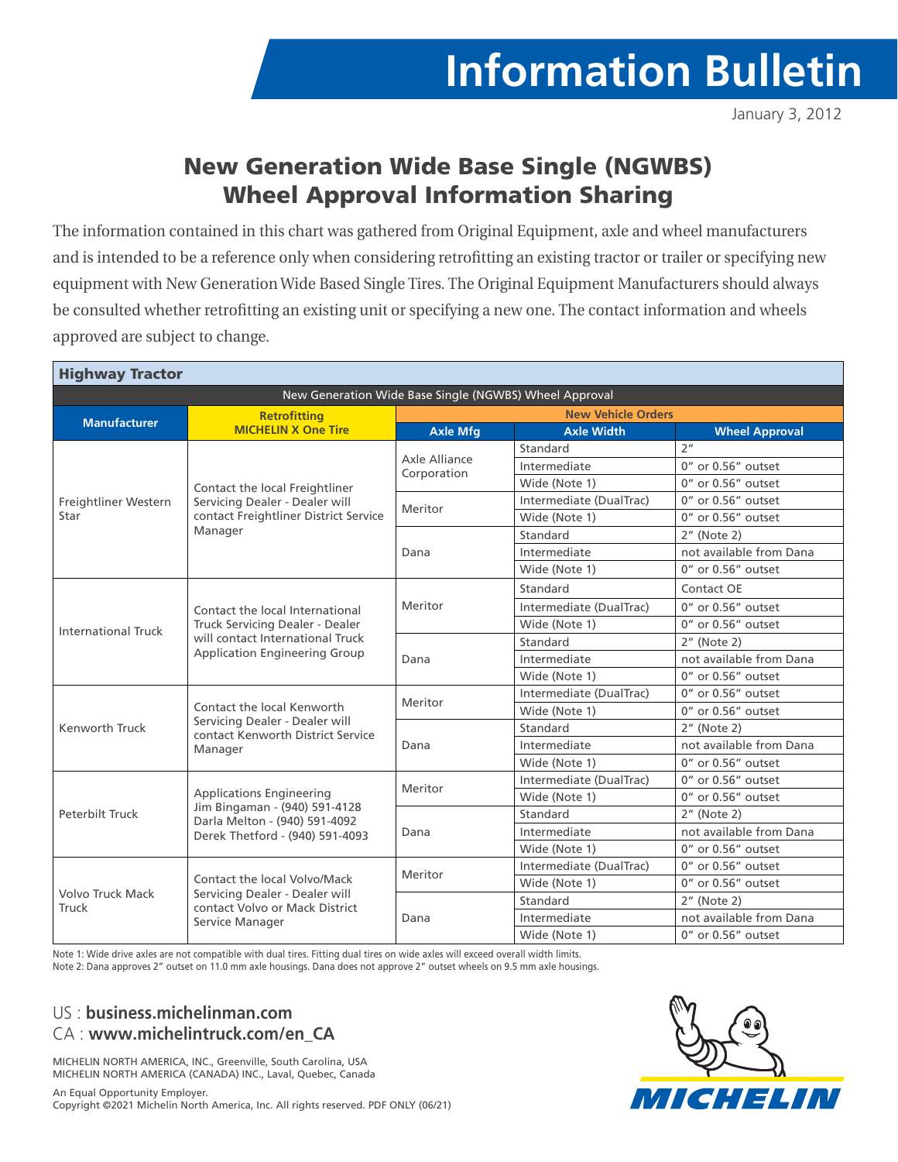January 3, 2012

## New Generation Wide Base Single (NGWBS) Wheel Approval Information Sharing

The information contained in this chart was gathered from Original Equipment, axle and wheel manufacturers and is intended to be a reference only when considering retrofitting an existing tractor or trailer or specifying new equipment with New Generation Wide Based Single Tires. The Original Equipment Manufacturers should always be consulted whether retrofitting an existing unit or specifying a new one. The contact information and wheels approved are subject to change.

| <b>Highway Tractor</b>                                 |                                                                                                                                                |                                                       |                         |                          |  |  |  |  |
|--------------------------------------------------------|------------------------------------------------------------------------------------------------------------------------------------------------|-------------------------------------------------------|-------------------------|--------------------------|--|--|--|--|
| New Generation Wide Base Single (NGWBS) Wheel Approval |                                                                                                                                                |                                                       |                         |                          |  |  |  |  |
|                                                        | <b>Retrofitting</b>                                                                                                                            | <b>New Vehicle Orders</b>                             |                         |                          |  |  |  |  |
| <b>Manufacturer</b>                                    | <b>MICHELIN X One Tire</b>                                                                                                                     | <b>Axle Mfg</b>                                       | <b>Axle Width</b>       | <b>Wheel Approval</b>    |  |  |  |  |
|                                                        | Contact the local Freightliner<br>Servicing Dealer - Dealer will                                                                               | Axle Alliance<br>Corporation                          | Standard                | 2 <sup>n</sup>           |  |  |  |  |
|                                                        |                                                                                                                                                |                                                       | Intermediate            | 0" or 0.56" outset       |  |  |  |  |
|                                                        |                                                                                                                                                |                                                       | Wide (Note 1)           | 0" or 0.56" outset       |  |  |  |  |
| Freightliner Western                                   |                                                                                                                                                |                                                       | Intermediate (DualTrac) | 0" or 0.56" outset       |  |  |  |  |
| Star                                                   | contact Freightliner District Service                                                                                                          |                                                       | Wide (Note 1)           | 0" or 0.56" outset       |  |  |  |  |
|                                                        | Manager                                                                                                                                        | Dana                                                  | Standard                | 2" (Note 2)              |  |  |  |  |
|                                                        |                                                                                                                                                |                                                       | Intermediate            | not available from Dana  |  |  |  |  |
|                                                        |                                                                                                                                                |                                                       | Wide (Note 1)           | $0''$ or $0.56''$ outset |  |  |  |  |
|                                                        |                                                                                                                                                | Meritor                                               | Standard                | Contact OE               |  |  |  |  |
|                                                        | Contact the local International<br>Truck Servicing Dealer - Dealer<br>will contact International Truck<br><b>Application Engineering Group</b> |                                                       | Intermediate (DualTrac) | 0" or 0.56" outset       |  |  |  |  |
| <b>International Truck</b>                             |                                                                                                                                                |                                                       | Wide (Note 1)           | $0''$ or $0.56''$ outset |  |  |  |  |
|                                                        |                                                                                                                                                | Dana                                                  | Standard                | 2" (Note 2)              |  |  |  |  |
|                                                        |                                                                                                                                                |                                                       | Intermediate            | not available from Dana  |  |  |  |  |
|                                                        |                                                                                                                                                |                                                       | Wide (Note 1)           | $0''$ or $0.56''$ outset |  |  |  |  |
|                                                        | Contact the local Kenworth                                                                                                                     | Meritor                                               | Intermediate (DualTrac) | 0" or 0.56" outset       |  |  |  |  |
|                                                        |                                                                                                                                                |                                                       | Wide (Note 1)           | 0" or 0.56" outset       |  |  |  |  |
| Kenworth Truck                                         | Servicing Dealer - Dealer will<br>contact Kenworth District Service                                                                            | Meritor<br>Dana<br>Meritor<br>Dana<br>Meritor<br>Dana | Standard                | 2" (Note 2)              |  |  |  |  |
|                                                        | Manager                                                                                                                                        |                                                       | Intermediate            | not available from Dana  |  |  |  |  |
|                                                        |                                                                                                                                                |                                                       | Wide (Note 1)           | 0" or 0.56" outset       |  |  |  |  |
| Peterbilt Truck                                        | <b>Applications Engineering</b><br>Jim Bingaman - (940) 591-4128<br>Darla Melton - (940) 591-4092<br>Derek Thetford - (940) 591-4093           |                                                       | Intermediate (DualTrac) | 0" or 0.56" outset       |  |  |  |  |
|                                                        |                                                                                                                                                |                                                       | Wide (Note 1)           | 0" or 0.56" outset       |  |  |  |  |
|                                                        |                                                                                                                                                |                                                       | Standard                | 2" (Note 2)              |  |  |  |  |
|                                                        |                                                                                                                                                |                                                       | Intermediate            | not available from Dana  |  |  |  |  |
|                                                        |                                                                                                                                                |                                                       | Wide (Note 1)           | 0" or 0.56" outset       |  |  |  |  |
|                                                        | Contact the local Volvo/Mack<br>Servicing Dealer - Dealer will<br>contact Volvo or Mack District<br>Service Manager                            |                                                       | Intermediate (DualTrac) | $0''$ or $0.56''$ outset |  |  |  |  |
| <b>Volvo Truck Mack</b>                                |                                                                                                                                                |                                                       | Wide (Note 1)           | 0" or 0.56" outset       |  |  |  |  |
| Truck                                                  |                                                                                                                                                |                                                       | Standard                | 2" (Note 2)              |  |  |  |  |
|                                                        |                                                                                                                                                |                                                       | Intermediate            | not available from Dana  |  |  |  |  |
|                                                        |                                                                                                                                                |                                                       | Wide (Note 1)           | 0" or 0.56" outset       |  |  |  |  |

Note 1: Wide drive axles are not compatible with dual tires. Fitting dual tires on wide axles will exceed overall width limits.

Note 2: Dana approves 2" outset on 11.0 mm axle housings. Dana does not approve 2" outset wheels on 9.5 mm axle housings.

## US : **business.michelinman.com** CA : **www.michelintruck.com/en\_CA**

MICHELIN NORTH AMERICA, INC., Greenville, South Carolina, USA MICHELIN NORTH AMERICA (CANADA) INC., Laval, Quebec, Canada

An Equal Opportunity Employer. Copyright ©2021 Michelin North America, Inc. All rights reserved. PDF ONLY (06/21)